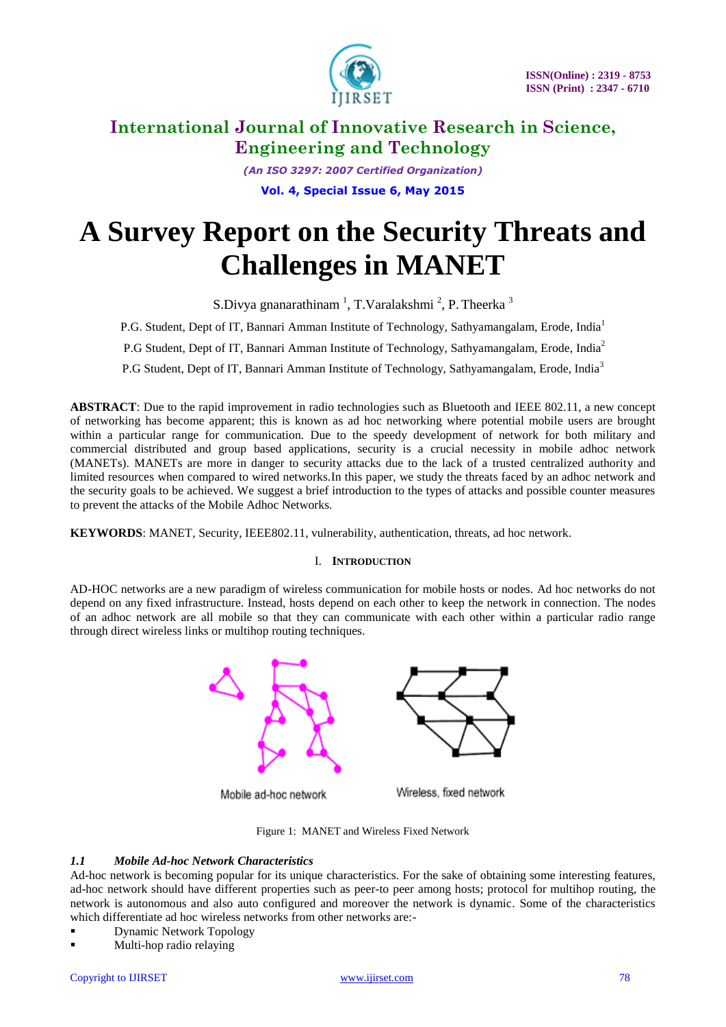

*(An ISO 3297: 2007 Certified Organization)* **Vol. 4, Special Issue 6, May 2015**

# **A Survey Report on the Security Threats and Challenges in MANET**

S.Divya gnanarathinam<sup>1</sup>, T.Varalakshmi<sup>2</sup>, P. Theerka<sup>3</sup>

P.G. Student, Dept of IT, Bannari Amman Institute of Technology, Sathyamangalam, Erode, India<sup>1</sup>

P.G Student, Dept of IT, Bannari Amman Institute of Technology, Sathyamangalam, Erode, India<sup>2</sup>

P.G Student, Dept of IT, Bannari Amman Institute of Technology, Sathyamangalam, Erode, India<sup>3</sup>

**ABSTRACT**: Due to the rapid improvement in radio technologies such as Bluetooth and IEEE 802.11, a new concept of networking has become apparent; this is known as ad hoc networking where potential mobile users are brought within a particular range for communication. Due to the speedy development of network for both military and commercial distributed and group based applications, security is a crucial necessity in mobile adhoc network (MANETs). MANETs are more in danger to security attacks due to the lack of a trusted centralized authority and limited resources when compared to wired networks.In this paper, we study the threats faced by an adhoc network and the security goals to be achieved. We suggest a brief introduction to the types of attacks and possible counter measures to prevent the attacks of the Mobile Adhoc Networks.

**KEYWORDS**: MANET, Security, IEEE802.11, vulnerability, authentication, threats, ad hoc network.

# I. **INTRODUCTION**

AD-HOC networks are a new paradigm of wireless communication for mobile hosts or nodes. Ad hoc networks do not depend on any fixed infrastructure. Instead, hosts depend on each other to keep the network in connection. The nodes of an adhoc network are all mobile so that they can communicate with each other within a particular radio range through direct wireless links or multihop routing techniques.



Figure 1: MANET and Wireless Fixed Network

## *1.1 Mobile Ad-hoc Network Characteristics*

Ad-hoc network is becoming popular for its unique characteristics. For the sake of obtaining some interesting features, ad-hoc network should have different properties such as peer-to peer among hosts; protocol for multihop routing, the network is autonomous and also auto configured and moreover the network is dynamic. Some of the characteristics which differentiate ad hoc wireless networks from other networks are:-

- Dynamic Network Topology
- Multi-hop radio relaying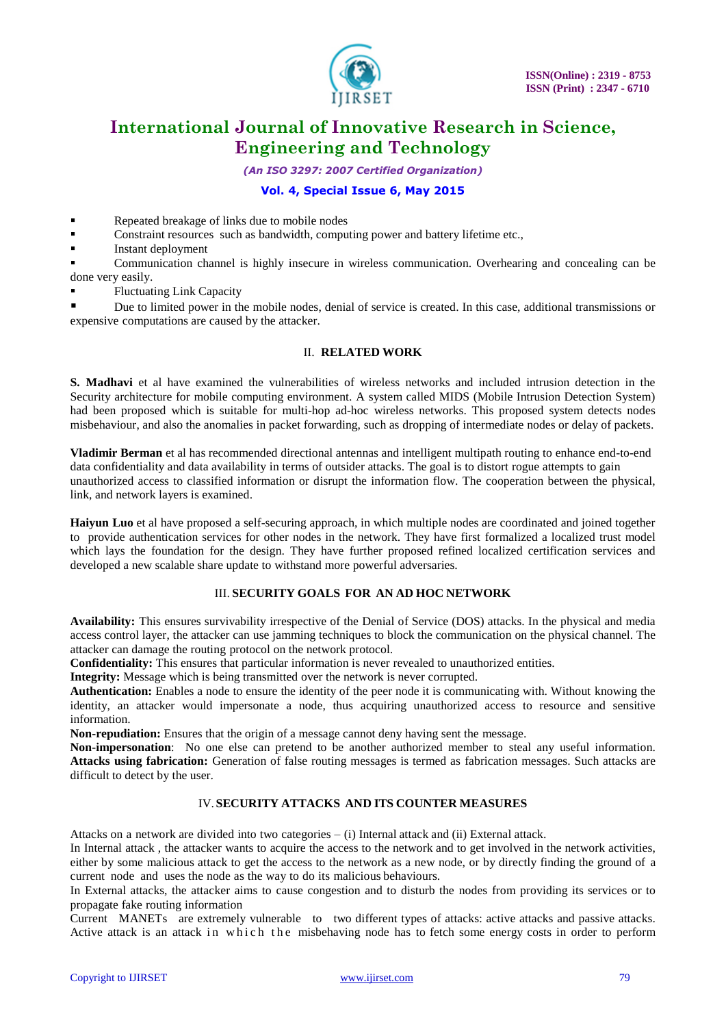

*(An ISO 3297: 2007 Certified Organization)*

# **Vol. 4, Special Issue 6, May 2015**

- Repeated breakage of links due to mobile nodes
- Constraint resources such as bandwidth, computing power and battery lifetime etc.,
- Instant deployment

 Communication channel is highly insecure in wireless communication. Overhearing and concealing can be done very easily.

Fluctuating Link Capacity

 Due to limited power in the mobile nodes, denial of service is created. In this case, additional transmissions or expensive computations are caused by the attacker.

### II. **RELATED WORK**

**S. Madhavi** et al have examined the vulnerabilities of wireless networks and included intrusion detection in the Security architecture for mobile computing environment. A system called MIDS (Mobile Intrusion Detection System) had been proposed which is suitable for multi-hop ad-hoc wireless networks. This proposed system detects nodes misbehaviour, and also the anomalies in packet forwarding, such as dropping of intermediate nodes or delay of packets.

**Vladimir Berman** et al has recommended directional antennas and intelligent multipath routing to enhance end-to-end data confidentiality and data availability in terms of outsider attacks. The goal is to distort rogue attempts to gain unauthorized access to classified information or disrupt the information flow. The cooperation between the physical, link, and network layers is examined.

**Haiyun Luo** et al have proposed a self-securing approach, in which multiple nodes are coordinated and joined together to provide authentication services for other nodes in the network. They have first formalized a localized trust model which lays the foundation for the design. They have further proposed refined localized certification services and developed a new scalable share update to withstand more powerful adversaries.

### III. **SECURITY GOALS FOR AN AD HOC NETWORK**

**Availability:** This ensures survivability irrespective of the Denial of Service (DOS) attacks. In the physical and media access control layer, the attacker can use jamming techniques to block the communication on the physical channel. The attacker can damage the routing protocol on the network protocol.

**Confidentiality:** This ensures that particular information is never revealed to unauthorized entities.

**Integrity:** Message which is being transmitted over the network is never corrupted.

**Authentication:** Enables a node to ensure the identity of the peer node it is communicating with. Without knowing the identity, an attacker would impersonate a node, thus acquiring unauthorized access to resource and sensitive information.

**Non-repudiation:** Ensures that the origin of a message cannot deny having sent the message.

**Non-impersonation**: No one else can pretend to be another authorized member to steal any useful information. **Attacks using fabrication:** Generation of false routing messages is termed as fabrication messages. Such attacks are difficult to detect by the user.

## IV. **SECURITY ATTACKS AND ITS COUNTER MEASURES**

Attacks on a network are divided into two categories – (i) Internal attack and (ii) External attack.

In Internal attack , the attacker wants to acquire the access to the network and to get involved in the network activities, either by some malicious attack to get the access to the network as a new node, or by directly finding the ground of a current node and uses the node as the way to do its malicious behaviours.

In External attacks, the attacker aims to cause congestion and to disturb the nodes from providing its services or to propagate fake routing information

Current MANETs are extremely vulnerable to two different types of attacks: active attacks and passive attacks. Active attack is an attack in which the misbehaving node has to fetch some energy costs in order to perform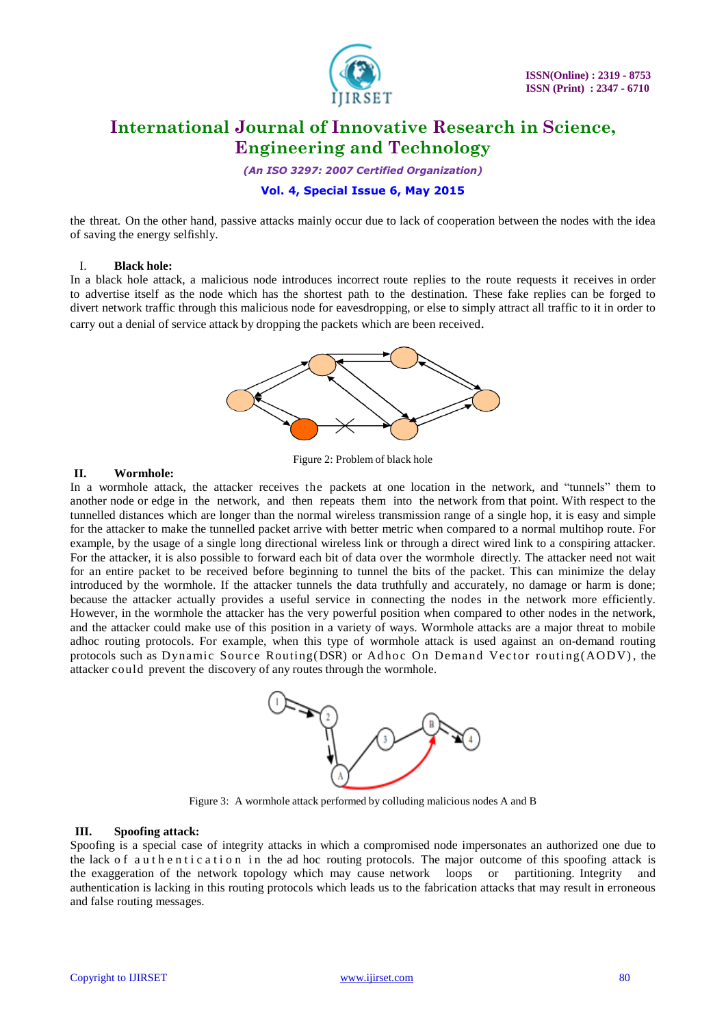

*(An ISO 3297: 2007 Certified Organization)*

# **Vol. 4, Special Issue 6, May 2015**

the threat. On the other hand, passive attacks mainly occur due to lack of cooperation between the nodes with the idea of saving the energy selfishly.

# I. **Black hole:**

In a black hole attack, a malicious node introduces incorrect route replies to the route requests it receives in order to advertise itself as the node which has the shortest path to the destination. These fake replies can be forged to divert network traffic through this malicious node for eavesdropping, or else to simply attract all traffic to it in order to carry out a denial of service attack by dropping the packets which are been received.



Figure 2: Problem of black hole

# **II. Wormhole:**

In a wormhole attack, the attacker receives the packets at one location in the network, and "tunnels" them to another node or edge in the network, and then repeats them into the network from that point. With respect to the tunnelled distances which are longer than the normal wireless transmission range of a single hop, it is easy and simple for the attacker to make the tunnelled packet arrive with better metric when compared to a normal multihop route. For example, by the usage of a single long directional wireless link or through a direct wired link to a conspiring attacker. For the attacker, it is also possible to forward each bit of data over the wormhole directly. The attacker need not wait for an entire packet to be received before beginning to tunnel the bits of the packet. This can minimize the delay introduced by the wormhole. If the attacker tunnels the data truthfully and accurately, no damage or harm is done; because the attacker actually provides a useful service in connecting the nodes in the network more efficiently. However, in the wormhole the attacker has the very powerful position when compared to other nodes in the network, and the attacker could make use of this position in a variety of ways. Wormhole attacks are a major threat to mobile adhoc routing protocols. For example, when this type of wormhole attack is used against an on-demand routing protocols such as Dynamic Source Routing(DSR) or Adhoc On Demand Vector routing( $AODV$ ), the attacker could prevent the discovery of any routes through the wormhole.



Figure 3: A wormhole attack performed by colluding malicious nodes A and B

#### **III. Spoofing attack:**

Spoofing is a special case of integrity attacks in which a compromised node impersonates an authorized one due to the lack of a uthentic ation in the ad hoc routing protocols. The major outcome of this spoofing attack is the exaggeration of the network topology which may cause network loops or partitioning. Integrity and authentication is lacking in this routing protocols which leads us to the fabrication attacks that may result in erroneous and false routing messages.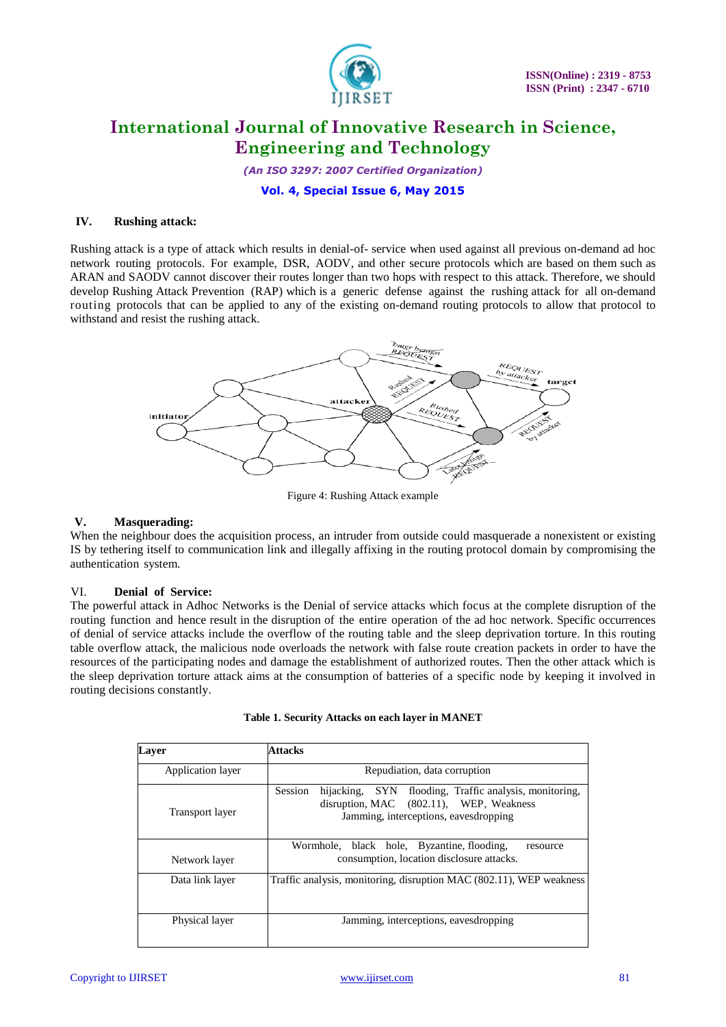

*(An ISO 3297: 2007 Certified Organization)*

**Vol. 4, Special Issue 6, May 2015**

# **IV. Rushing attack:**

Rushing attack is a type of attack which results in denial-of- service when used against all previous on-demand ad hoc network routing protocols. For example, DSR, AODV, and other secure protocols which are based on them such as ARAN and SAODV cannot discover their routes longer than two hops with respect to this attack. Therefore, we should develop Rushing Attack Prevention (RAP) which is a generic defense against the rushing attack for all on-demand routing protocols that can be applied to any of the existing on-demand routing protocols to allow that protocol to withstand and resist the rushing attack.



Figure 4: Rushing Attack example

### **V. Masquerading:**

When the neighbour does the acquisition process, an intruder from outside could masquerade a nonexistent or existing IS by tethering itself to communication link and illegally affixing in the routing protocol domain by compromising the authentication system.

#### VI. **Denial of Service:**

The powerful attack in Adhoc Networks is the Denial of service attacks which focus at the complete disruption of the routing function and hence result in the disruption of the entire operation of the ad hoc network. Specific occurrences of denial of service attacks include the overflow of the routing table and the sleep deprivation torture. In this routing table overflow attack, the malicious node overloads the network with false route creation packets in order to have the resources of the participating nodes and damage the establishment of authorized routes. Then the other attack which is the sleep deprivation torture attack aims at the consumption of batteries of a specific node by keeping it involved in routing decisions constantly.

| Laver             | Attacks                                                                                                                                                  |  |  |  |
|-------------------|----------------------------------------------------------------------------------------------------------------------------------------------------------|--|--|--|
| Application layer | Repudiation, data corruption                                                                                                                             |  |  |  |
| Transport layer   | flooding, Traffic analysis, monitoring,<br>hijacking, SYN<br>Session<br>disruption, MAC (802.11), WEP, Weakness<br>Jamming, interceptions, eavesdropping |  |  |  |
| Network layer     | Wormhole, black hole, Byzantine, flooding,<br>resource<br>consumption, location disclosure attacks.                                                      |  |  |  |
| Data link layer   | Traffic analysis, monitoring, disruption MAC (802.11), WEP weakness                                                                                      |  |  |  |
| Physical layer    | Jamming, interceptions, eavesdropping                                                                                                                    |  |  |  |

|  | Table 1. Security Attacks on each layer in MANET |  |  |
|--|--------------------------------------------------|--|--|
|  |                                                  |  |  |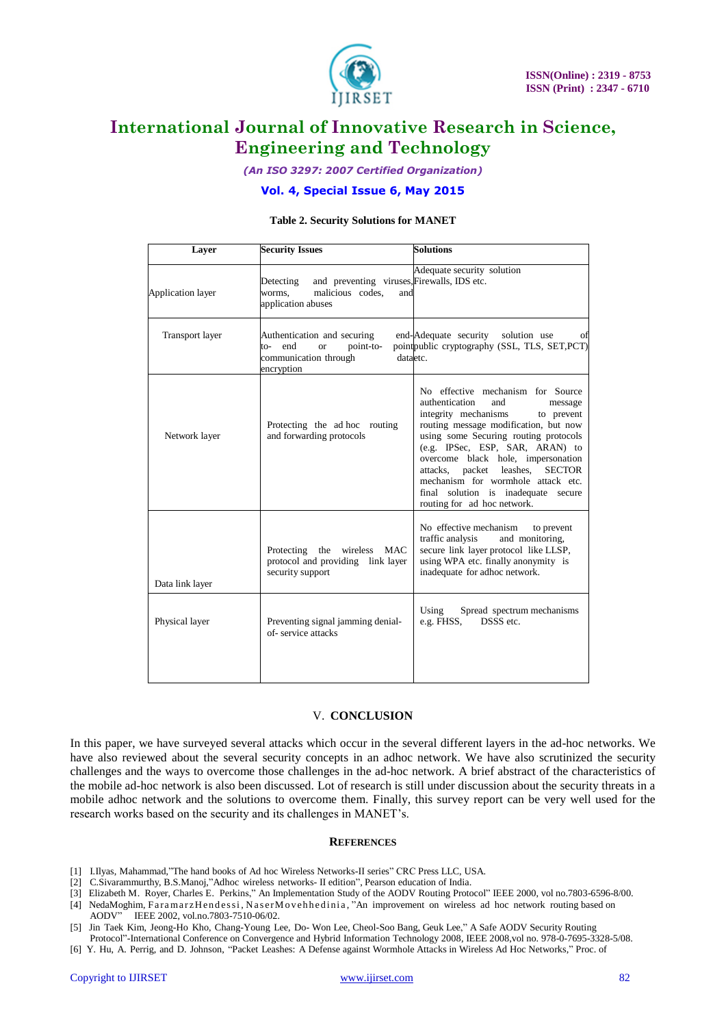

*(An ISO 3297: 2007 Certified Organization)*

# **Vol. 4, Special Issue 6, May 2015**

### **Table 2. Security Solutions for MANET**

| Layer                    | <b>Security Issues</b>                                                                                                                                                                                             | <b>Solutions</b>                                                                                                                                                                                                                                                                                                                                                                                                                |  |  |
|--------------------------|--------------------------------------------------------------------------------------------------------------------------------------------------------------------------------------------------------------------|---------------------------------------------------------------------------------------------------------------------------------------------------------------------------------------------------------------------------------------------------------------------------------------------------------------------------------------------------------------------------------------------------------------------------------|--|--|
| <b>Application layer</b> | and preventing viruses, Firewalls, IDS etc.<br>Detecting<br>malicious codes,<br>worms.<br>and<br>application abuses                                                                                                | Adequate security solution                                                                                                                                                                                                                                                                                                                                                                                                      |  |  |
| Transport layer          | end-Adequate security<br>solution use<br>Authentication and securing<br>Οİ<br>pointpublic cryptography (SSL, TLS, SET, PCT)<br>to-end<br>point-to-<br><b>or</b><br>communication through<br>dataetc.<br>encryption |                                                                                                                                                                                                                                                                                                                                                                                                                                 |  |  |
| Network layer            | Protecting the ad hoc routing<br>and forwarding protocols                                                                                                                                                          | No effective mechanism for Source<br>authentication<br>and<br>message<br>integrity mechanisms<br>to prevent<br>routing message modification, but now<br>using some Securing routing protocols<br>(e.g. IPSec, ESP, SAR, ARAN) to<br>overcome black hole, impersonation<br>attacks, packet leashes,<br><b>SECTOR</b><br>mechanism for wormhole attack etc.<br>final solution is inadequate secure<br>routing for ad hoc network. |  |  |
| Data link layer          | wireless<br>Protecting<br>the<br><b>MAC</b><br>protocol and providing link layer<br>security support                                                                                                               | No effective mechanism<br>to prevent<br>traffic analysis<br>and monitoring,<br>secure link layer protocol like LLSP,<br>using WPA etc. finally anonymity is<br>inadequate for adhoc network.                                                                                                                                                                                                                                    |  |  |
| Physical layer           | Preventing signal jamming denial-<br>of-service attacks                                                                                                                                                            | Using<br>Spread spectrum mechanisms<br>e.g. FHSS,<br>DSSS etc.                                                                                                                                                                                                                                                                                                                                                                  |  |  |

#### V. **CONCLUSION**

In this paper, we have surveyed several attacks which occur in the several different layers in the ad-hoc networks. We have also reviewed about the several security concepts in an adhoc network. We have also scrutinized the security challenges and the ways to overcome those challenges in the ad-hoc network. A brief abstract of the characteristics of the mobile ad-hoc network is also been discussed. Lot of research is still under discussion about the security threats in a mobile adhoc network and the solutions to overcome them. Finally, this survey report can be very well used for the research works based on the security and its challenges in MANET's.

#### **REFERENCES**

- [1] I.Ilyas, Mahammad,"The hand books of Ad hoc Wireless Networks-II series" CRC Press LLC, USA.
- [2] C.Sivarammurthy, B.S.Manoj,"Adhoc wireless networks- II edition", Pearson education of India.
- [3] Elizabeth M. Royer, Charles E. Perkins," An Implementation Study of the AODV Routing Protocol" IEEE 2000, vol no.7803-6596-8/00. [4] NedaMoghim, FaramarzHendessi, NaserMovehhedinia, "An improvement on wireless ad hoc network routing based on
- AODV" IEEE 2002, vol.no.7803-7510-06/02.
- [5] Jin Taek Kim, Jeong-Ho Kho, Chang-Young Lee, Do- Won Lee, Cheol-Soo Bang, Geuk Lee," A Safe AODV Security Routing Protocol"-International Conference on Convergence and Hybrid Information Technology 2008, IEEE 2008,vol no. 978-0-7695-3328-5/08.
- [6] Y. Hu, A. Perrig, and D. Johnson, "Packet Leashes: A Defense against Wormhole Attacks in Wireless Ad Hoc Networks," Proc. of